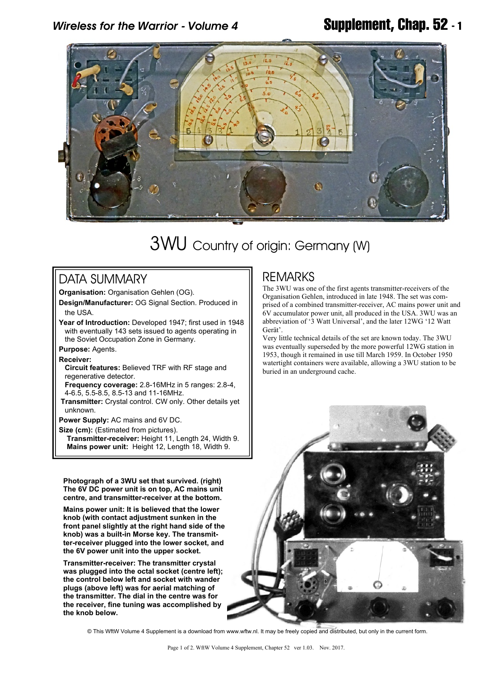

# 3WU Country of origin: Germany (W)

## DATA SUMMARY

**Organisation:** Organisation Gehlen (OG).

**Design/Manufacturer:** OG Signal Section. Produced in the USA.

**Year of Introduction:** Developed 1947; first used in 1948 with eventually 143 sets issued to agents operating in the Soviet Occupation Zone in Germany.

**Purpose:** Agents.

### **Receiver:**

 **Circuit features:** Believed TRF with RF stage and regenerative detector.

**Frequency coverage:** 2.8-16MHz in 5 ranges: 2.8-4, 4-6.5, 5.5-8.5, 8.5-13 and 11-16MHz.

 **Transmitter:** Crystal control. CW only. Other details yet unknown.

**Power Supply:** AC mains and 6V DC.

**Size (cm):** (Estimated from pictures).

**Transmitter-receiver:** Height 11, Length 24, Width 9. **Mains power unit:** Height 12, Length 18, Width 9.

**Photograph of a 3WU set that survived. (right) The 6V DC power unit is on top, AC mains unit centre, and transmitter-receiver at the bottom.**

**Mains power unit: It is believed that the lower knob (with contact adjustment sunken in the front panel slightly at the right hand side of the knob) was a built-in Morse key. The transmitter-receiver plugged into the lower socket, and the 6V power unit into the upper socket.**

**Transmitter-receiver: The transmitter crystal was plugged into the octal socket (centre left); the control below left and socket with wander plugs (above left) was for aerial matching of the transmitter. The dial in the centre was for the receiver, fine tuning was accomplished by the knob below.**

## **REMARKS**

The 3WU was one of the first agents transmitter-receivers of the Organisation Gehlen, introduced in late 1948. The set was comprised of a combined transmitter-receiver, AC mains power unit and 6V accumulator power unit, all produced in the USA. 3WU was an abbreviation of '3 Watt Universal', and the later 12WG '12 Watt Gerät'.

Very little technical details of the set are known today. The 3WU was eventually superseded by the more powerful 12WG station in 1953, though it remained in use till March 1959. In October 1950 watertight containers were available, allowing a 3WU station to be buried in an underground cache.



© This WftW Volume 4 Supplement is a download from www.wftw.nl. It may be freely copied and distributed, but only in the current form.